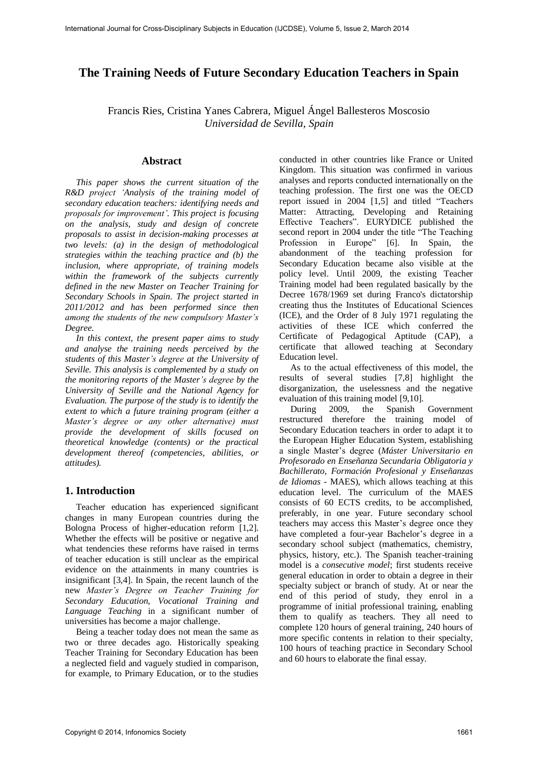# **The Training Needs of Future Secondary Education Teachers in Spain**

Francis Ries, Cristina Yanes Cabrera, Miguel Ángel Ballesteros Moscosio *Universidad de Sevilla, Spain* 

#### **Abstract**

*This paper shows the current situation of the R&D project 'Analysis of the training model of secondary education teachers: identifying needs and proposals for improvement'. This project is focusing on the analysis, study and design of concrete proposals to assist in decision-making processes at two levels: (a) in the design of methodological strategies within the teaching practice and (b) the inclusion, where appropriate, of training models within the framework of the subjects currently defined in the new Master on Teacher Training for Secondary Schools in Spain. The project started in 2011/2012 and has been performed since then among the students of the new compulsory Master's Degree.* 

*In this context, the present paper aims to study and analyse the training needs perceived by the students of this Master's degree at the University of Seville. This analysis is complemented by a study on the monitoring reports of the Master's degree by the University of Seville and the National Agency for Evaluation. The purpose of the study is to identify the extent to which a future training program (either a Master's degree or any other alternative) must provide the development of skills focused on theoretical knowledge (contents) or the practical development thereof (competencies, abilities, or attitudes).* 

### **1. Introduction**

Teacher education has experienced significant changes in many European countries during the Bologna Process of higher-education reform [1,2]. Whether the effects will be positive or negative and what tendencies these reforms have raised in terms of teacher education is still unclear as the empirical evidence on the attainments in many countries is insignificant [3,4]. In Spain, the recent launch of the new *Master's Degree on Teacher Training for Secondary Education, Vocational Training and Language Teaching* in a significant number of universities has become a major challenge.

Being a teacher today does not mean the same as two or three decades ago. Historically speaking Teacher Training for Secondary Education has been a neglected field and vaguely studied in comparison, for example, to Primary Education, or to the studies conducted in other countries like France or United Kingdom. This situation was confirmed in various analyses and reports conducted internationally on the teaching profession. The first one was the OECD report issued in 2004 [1,5] and titled "Teachers Matter: Attracting, Developing and Retaining Effective Teachers". EURYDICE published the second report in 2004 under the title "The Teaching Profession in Europe" [6]. In Spain, the abandonment of the teaching profession for Secondary Education became also visible at the policy level. Until 2009, the existing Teacher Training model had been regulated basically by the Decree 1678/1969 set during Franco's dictatorship creating thus the Institutes of Educational Sciences (ICE), and the Order of 8 July 1971 regulating the activities of these ICE which conferred the Certificate of Pedagogical Aptitude (CAP), a certificate that allowed teaching at Secondary Education level.

As to the actual effectiveness of this model, the results of several studies [7,8] highlight the disorganization, the uselessness and the negative evaluation of this training model [9,10].

During 2009, the Spanish Government restructured therefore the training model of Secondary Education teachers in order to adapt it to the European Higher Education System, establishing a single Master's degree (*Máster Universitario en Profesorado en Enseñanza Secundaria Obligatoria y Bachillerato, Formación Profesional y Enseñanzas de Idiomas -* MAES), which allows teaching at this education level. The curriculum of the MAES consists of 60 ECTS credits, to be accomplished, preferably, in one year. Future secondary school teachers may access this Master's degree once they have completed a four-year Bachelor's degree in a secondary school subject (mathematics, chemistry, physics, history, etc.). The Spanish teacher-training model is a *consecutive model*; first students receive general education in order to obtain a degree in their specialty subject or branch of study. At or near the end of this period of study, they enrol in a programme of initial professional training, enabling them to qualify as teachers. They all need to complete 120 hours of general training, 240 hours of more specific contents in relation to their specialty, 100 hours of teaching practice in Secondary School and 60 hours to elaborate the final essay.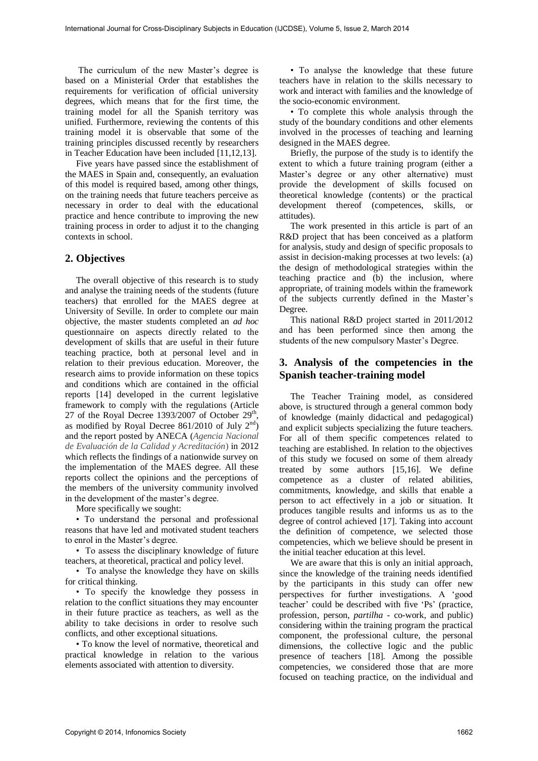The curriculum of the new Master's degree is based on a Ministerial Order that establishes the requirements for verification of official university degrees, which means that for the first time, the training model for all the Spanish territory was unified. Furthermore, reviewing the contents of this training model it is observable that some of the training principles discussed recently by researchers in Teacher Education have been included [11,12,13].

Five years have passed since the establishment of the MAES in Spain and, consequently, an evaluation of this model is required based, among other things, on the training needs that future teachers perceive as necessary in order to deal with the educational practice and hence contribute to improving the new training process in order to adjust it to the changing contexts in school.

## **2. Objectives**

The overall objective of this research is to study and analyse the training needs of the students (future teachers) that enrolled for the MAES degree at University of Seville. In order to complete our main objective, the master students completed an *ad hoc* questionnaire on aspects directly related to the development of skills that are useful in their future teaching practice, both at personal level and in relation to their previous education. Moreover, the research aims to provide information on these topics and conditions which are contained in the official reports [14] developed in the current legislative framework to comply with the regulations (Article 27 of the Royal Decree  $1393/2007$  of October  $29<sup>th</sup>$ , as modified by Royal Decree  $861/2010$  of July  $2<sup>nd</sup>$ ) and the report posted by ANECA (*Agencia Nacional de Evaluación de la Calidad y Acreditación*) in 2012 which reflects the findings of a nationwide survey on the implementation of the MAES degree. All these reports collect the opinions and the perceptions of the members of the university community involved in the development of the master's degree.

More specifically we sought:

• To understand the personal and professional reasons that have led and motivated student teachers to enrol in the Master's degree.

• To assess the disciplinary knowledge of future teachers, at theoretical, practical and policy level.

• To analyse the knowledge they have on skills for critical thinking.

• To specify the knowledge they possess in relation to the conflict situations they may encounter in their future practice as teachers, as well as the ability to take decisions in order to resolve such conflicts, and other exceptional situations.

• To know the level of normative, theoretical and practical knowledge in relation to the various elements associated with attention to diversity.

• To analyse the knowledge that these future teachers have in relation to the skills necessary to work and interact with families and the knowledge of the socio-economic environment.

• To complete this whole analysis through the study of the boundary conditions and other elements involved in the processes of teaching and learning designed in the MAES degree.

Briefly, the purpose of the study is to identify the extent to which a future training program (either a Master's degree or any other alternative) must provide the development of skills focused on theoretical knowledge (contents) or the practical development thereof (competences, skills, or attitudes).

The work presented in this article is part of an R&D project that has been conceived as a platform for analysis, study and design of specific proposals to assist in decision-making processes at two levels: (a) the design of methodological strategies within the teaching practice and (b) the inclusion, where appropriate, of training models within the framework of the subjects currently defined in the Master's Degree.

This national R&D project started in 2011/2012 and has been performed since then among the students of the new compulsory Master's Degree.

# **3. Analysis of the competencies in the Spanish teacher-training model**

The Teacher Training model, as considered above, is structured through a general common body of knowledge (mainly didactical and pedagogical) and explicit subjects specializing the future teachers. For all of them specific competences related to teaching are established. In relation to the objectives of this study we focused on some of them already treated by some authors [15,16]. We define competence as a cluster of related abilities, commitments, knowledge, and skills that enable a person to act effectively in a job or situation. It produces tangible results and informs us as to the degree of control achieved [17]. Taking into account the definition of competence, we selected those competencies, which we believe should be present in the initial teacher education at this level.

We are aware that this is only an initial approach, since the knowledge of the training needs identified by the participants in this study can offer new perspectives for further investigations. A 'good teacher' could be described with five 'Ps' (practice, profession, person, *partilha* - co-work, and public) considering within the training program the practical component, the professional culture, the personal dimensions, the collective logic and the public presence of teachers [18]. Among the possible competencies, we considered those that are more focused on teaching practice, on the individual and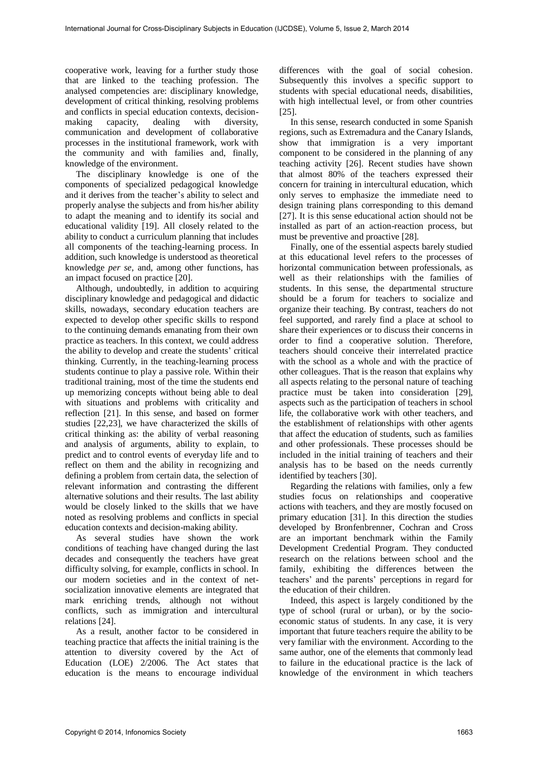cooperative work, leaving for a further study those that are linked to the teaching profession. The analysed competencies are: disciplinary knowledge, development of critical thinking, resolving problems and conflicts in special education contexts, decisionmaking capacity, dealing with diversity, communication and development of collaborative processes in the institutional framework, work with the community and with families and, finally, knowledge of the environment.

The disciplinary knowledge is one of the components of specialized pedagogical knowledge and it derives from the teacher's ability to select and properly analyse the subjects and from his/her ability to adapt the meaning and to identify its social and educational validity [19]. All closely related to the ability to conduct a curriculum planning that includes all components of the teaching-learning process. In addition, such knowledge is understood as theoretical knowledge *per se*, and, among other functions, has an impact focused on practice [20].

Although, undoubtedly, in addition to acquiring disciplinary knowledge and pedagogical and didactic skills, nowadays, secondary education teachers are expected to develop other specific skills to respond to the continuing demands emanating from their own practice as teachers. In this context, we could address the ability to develop and create the students' critical thinking. Currently, in the teaching-learning process students continue to play a passive role. Within their traditional training, most of the time the students end up memorizing concepts without being able to deal with situations and problems with criticality and reflection [21]. In this sense, and based on former studies [22,23], we have characterized the skills of critical thinking as: the ability of verbal reasoning and analysis of arguments, ability to explain, to predict and to control events of everyday life and to reflect on them and the ability in recognizing and defining a problem from certain data, the selection of relevant information and contrasting the different alternative solutions and their results. The last ability would be closely linked to the skills that we have noted as resolving problems and conflicts in special education contexts and decision-making ability.

As several studies have shown the work conditions of teaching have changed during the last decades and consequently the teachers have great difficulty solving, for example, conflicts in school. In our modern societies and in the context of netsocialization innovative elements are integrated that mark enriching trends, although not without conflicts, such as immigration and intercultural relations [24].

As a result, another factor to be considered in teaching practice that affects the initial training is the attention to diversity covered by the Act of Education (LOE) 2/2006. The Act states that education is the means to encourage individual

differences with the goal of social cohesion. Subsequently this involves a specific support to students with special educational needs, disabilities, with high intellectual level, or from other countries [25].

In this sense, research conducted in some Spanish regions, such as Extremadura and the Canary Islands, show that immigration is a very important component to be considered in the planning of any teaching activity [26]. Recent studies have shown that almost 80% of the teachers expressed their concern for training in intercultural education, which only serves to emphasize the immediate need to design training plans corresponding to this demand [27]. It is this sense educational action should not be installed as part of an action-reaction process, but must be preventive and proactive [28].

Finally, one of the essential aspects barely studied at this educational level refers to the processes of horizontal communication between professionals, as well as their relationships with the families of students. In this sense, the departmental structure should be a forum for teachers to socialize and organize their teaching. By contrast, teachers do not feel supported, and rarely find a place at school to share their experiences or to discuss their concerns in order to find a cooperative solution. Therefore, teachers should conceive their interrelated practice with the school as a whole and with the practice of other colleagues. That is the reason that explains why all aspects relating to the personal nature of teaching practice must be taken into consideration [29], aspects such as the participation of teachers in school life, the collaborative work with other teachers, and the establishment of relationships with other agents that affect the education of students, such as families and other professionals. These processes should be included in the initial training of teachers and their analysis has to be based on the needs currently identified by teachers [30].

Regarding the relations with families, only a few studies focus on relationships and cooperative actions with teachers, and they are mostly focused on primary education [31]. In this direction the studies developed by Bronfenbrenner, Cochran and Cross are an important benchmark within the Family Development Credential Program. They conducted research on the relations between school and the family, exhibiting the differences between the teachers' and the parents' perceptions in regard for the education of their children.

Indeed, this aspect is largely conditioned by the type of school (rural or urban), or by the socioeconomic status of students. In any case, it is very important that future teachers require the ability to be very familiar with the environment. According to the same author, one of the elements that commonly lead to failure in the educational practice is the lack of knowledge of the environment in which teachers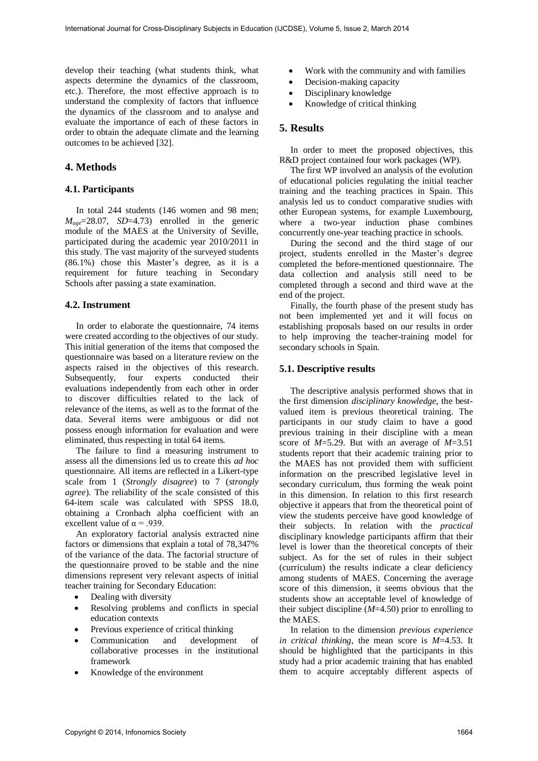develop their teaching (what students think, what aspects determine the dynamics of the classroom, etc.). Therefore, the most effective approach is to understand the complexity of factors that influence the dynamics of the classroom and to analyse and evaluate the importance of each of these factors in order to obtain the adequate climate and the learning outcomes to be achieved [32].

# **4. Methods**

#### **4.1. Participants**

In total 244 students (146 women and 98 men;  $M_{\text{age}} = 28.07$ ,  $SD = 4.73$  enrolled in the generic module of the MAES at the University of Seville, participated during the academic year 2010/2011 in this study. The vast majority of the surveyed students (86.1%) chose this Master's degree, as it is a requirement for future teaching in Secondary Schools after passing a state examination.

### **4.2. Instrument**

In order to elaborate the questionnaire, 74 items were created according to the objectives of our study. This initial generation of the items that composed the questionnaire was based on a literature review on the aspects raised in the objectives of this research. Subsequently, four experts conducted their evaluations independently from each other in order to discover difficulties related to the lack of relevance of the items, as well as to the format of the data. Several items were ambiguous or did not possess enough information for evaluation and were eliminated, thus respecting in total 64 items.

The failure to find a measuring instrument to assess all the dimensions led us to create this *ad hoc* questionnaire. All items are reflected in a Likert-type scale from 1 (*Strongly disagree*) to 7 (*strongly agree*). The reliability of the scale consisted of this 64-item scale was calculated with SPSS 18.0, obtaining a Cronbach alpha coefficient with an excellent value of  $\alpha$  = .939.

An exploratory factorial analysis extracted nine factors or dimensions that explain a total of 78,347% of the variance of the data. The factorial structure of the questionnaire proved to be stable and the nine dimensions represent very relevant aspects of initial teacher training for Secondary Education:

- Dealing with diversity
- Resolving problems and conflicts in special education contexts
- Previous experience of critical thinking
- Communication and development of collaborative processes in the institutional framework
- Knowledge of the environment
- Work with the community and with families
- Decision-making capacity
- Disciplinary knowledge
- Knowledge of critical thinking

# **5. Results**

In order to meet the proposed objectives, this R&D project contained four work packages (WP).

The first WP involved an analysis of the evolution of educational policies regulating the initial teacher training and the teaching practices in Spain. This analysis led us to conduct comparative studies with other European systems, for example Luxembourg, where a two-year induction phase combines concurrently one-year teaching practice in schools.

During the second and the third stage of our project, students enrolled in the Master's degree completed the before-mentioned questionnaire. The data collection and analysis still need to be completed through a second and third wave at the end of the project.

Finally, the fourth phase of the present study has not been implemented yet and it will focus on establishing proposals based on our results in order to help improving the teacher-training model for secondary schools in Spain.

#### **5.1. Descriptive results**

The descriptive analysis performed shows that in the first dimension *disciplinary knowledge*, the bestvalued item is previous theoretical training. The participants in our study claim to have a good previous training in their discipline with a mean score of *M*=5.29. But with an average of *M*=3.51 students report that their academic training prior to the MAES has not provided them with sufficient information on the prescribed legislative level in secondary curriculum, thus forming the weak point in this dimension. In relation to this first research objective it appears that from the theoretical point of view the students perceive have good knowledge of their subjects. In relation with the *practical* disciplinary knowledge participants affirm that their level is lower than the theoretical concepts of their subject. As for the set of rules in their subject (curriculum) the results indicate a clear deficiency among students of MAES. Concerning the average score of this dimension, it seems obvious that the students show an acceptable level of knowledge of their subject discipline (*M*=4.50) prior to enrolling to the MAES.

In relation to the dimension *previous experience in critical thinking*, the mean score is *M*=4.53. It should be highlighted that the participants in this study had a prior academic training that has enabled them to acquire acceptably different aspects of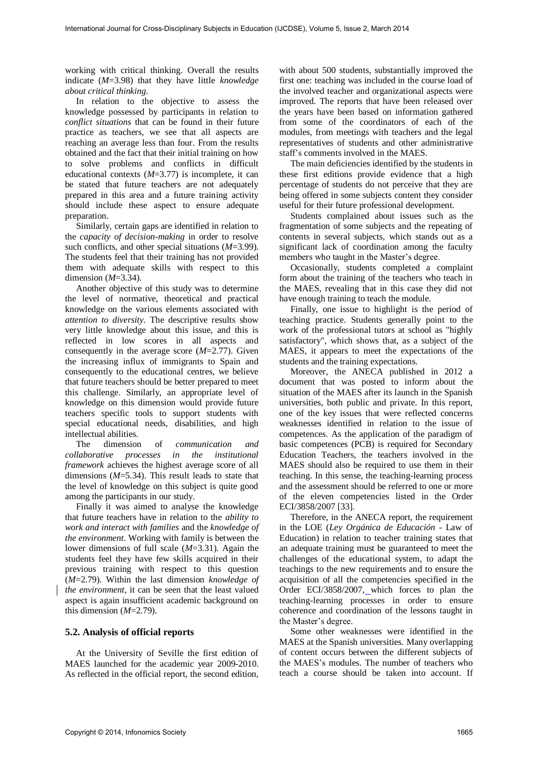working with critical thinking. Overall the results indicate (*M*=3.98) that they have little *knowledge about critical thinking*.

In relation to the objective to assess the knowledge possessed by participants in relation to *conflict situations* that can be found in their future practice as teachers, we see that all aspects are reaching an average less than four. From the results obtained and the fact that their initial training on how to solve problems and conflicts in difficult educational contexts (*M*=3.77) is incomplete, it can be stated that future teachers are not adequately prepared in this area and a future training activity should include these aspect to ensure adequate preparation.

Similarly, certain gaps are identified in relation to the *capacity of decision-making* in order to resolve such conflicts, and other special situations (*M*=3.99). The students feel that their training has not provided them with adequate skills with respect to this dimension (*M*=3.34).

Another objective of this study was to determine the level of normative, theoretical and practical knowledge on the various elements associated with *attention to diversity*. The descriptive results show very little knowledge about this issue, and this is reflected in low scores in all aspects and consequently in the average score (*M*=2.77). Given the increasing influx of immigrants to Spain and consequently to the educational centres, we believe that future teachers should be better prepared to meet this challenge. Similarly, an appropriate level of knowledge on this dimension would provide future teachers specific tools to support students with special educational needs, disabilities, and high intellectual abilities.

The dimension of *communication and collaborative processes in the institutional framework* achieves the highest average score of all dimensions (*M*=5.34). This result leads to state that the level of knowledge on this subject is quite good among the participants in our study.

Finally it was aimed to analyse the knowledge that future teachers have in relation to the *ability to work and interact with families* and the *knowledge of the environment*. Working with family is between the lower dimensions of full scale (*M*=3.31). Again the students feel they have few skills acquired in their previous training with respect to this question (*M*=2.79). Within the last dimension *knowledge of the environment*, it can be seen that the least valued aspect is again insufficient academic background on this dimension  $(M=2.79)$ .

### **5.2. Analysis of official reports**

At the University of Seville the first edition of MAES launched for the academic year 2009-2010. As reflected in the official report, the second edition,

with about 500 students, substantially improved the first one: teaching was included in the course load of the involved teacher and organizational aspects were improved. The reports that have been released over the years have been based on information gathered from some of the coordinators of each of the modules, from meetings with teachers and the legal representatives of students and other administrative staff's comments involved in the MAES.

The main deficiencies identified by the students in these first editions provide evidence that a high percentage of students do not perceive that they are being offered in some subjects content they consider useful for their future professional development.

Students complained about issues such as the fragmentation of some subjects and the repeating of contents in several subjects, which stands out as a significant lack of coordination among the faculty members who taught in the Master's degree.

Occasionally, students completed a complaint form about the training of the teachers who teach in the MAES, revealing that in this case they did not have enough training to teach the module.

Finally, one issue to highlight is the period of teaching practice. Students generally point to the work of the professional tutors at school as "highly satisfactory", which shows that, as a subject of the MAES, it appears to meet the expectations of the students and the training expectations.

Moreover, the ANECA published in 2012 a document that was posted to inform about the situation of the MAES after its launch in the Spanish universities, both public and private. In this report, one of the key issues that were reflected concerns weaknesses identified in relation to the issue of competences. As the application of the paradigm of basic competences (PCB) is required for Secondary Education Teachers, the teachers involved in the MAES should also be required to use them in their teaching. In this sense, the teaching-learning process and the assessment should be referred to one or more of the eleven competencies listed in the Order ECI/3858/2007 [33].

Therefore, in the ANECA report, the requirement in the LOE (*Ley Orgánica de Educación* - Law of Education) in relation to teacher training states that an adequate training must be guaranteed to meet the challenges of the educational system, to adapt the teachings to the new requirements and to ensure the acquisition of all the competencies specified in the Order ECI/3858/2007, which forces to plan the teaching-learning processes in order to ensure coherence and coordination of the lessons taught in the Master's degree.

Some other weaknesses were identified in the MAES at the Spanish universities. Many overlapping of content occurs between the different subjects of the MAES's modules. The number of teachers who teach a course should be taken into account. If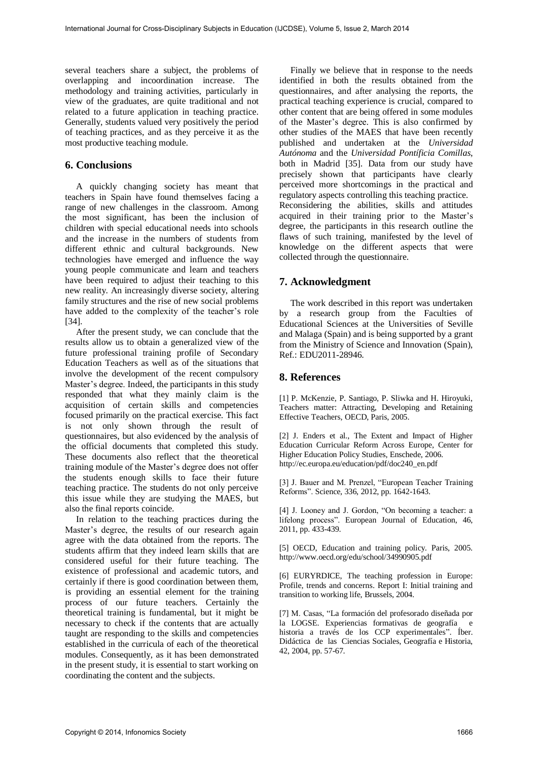several teachers share a subject, the problems of overlapping and incoordination increase. The methodology and training activities, particularly in view of the graduates, are quite traditional and not related to a future application in teaching practice. Generally, students valued very positively the period of teaching practices, and as they perceive it as the most productive teaching module.

# **6. Conclusions**

A quickly changing society has meant that teachers in Spain have found themselves facing a range of new challenges in the classroom. Among the most significant, has been the inclusion of children with special educational needs into schools and the increase in the numbers of students from different ethnic and cultural backgrounds. New technologies have emerged and influence the way young people communicate and learn and teachers have been required to adjust their teaching to this new reality. An increasingly diverse society, altering family structures and the rise of new social problems have added to the complexity of the teacher's role [34].

After the present study, we can conclude that the results allow us to obtain a generalized view of the future professional training profile of Secondary Education Teachers as well as of the situations that involve the development of the recent compulsory Master's degree. Indeed, the participants in this study responded that what they mainly claim is the acquisition of certain skills and competencies focused primarily on the practical exercise. This fact is not only shown through the result of questionnaires, but also evidenced by the analysis of the official documents that completed this study. These documents also reflect that the theoretical training module of the Master's degree does not offer the students enough skills to face their future teaching practice. The students do not only perceive this issue while they are studying the MAES, but also the final reports coincide.

In relation to the teaching practices during the Master's degree, the results of our research again agree with the data obtained from the reports. The students affirm that they indeed learn skills that are considered useful for their future teaching. The existence of professional and academic tutors, and certainly if there is good coordination between them, is providing an essential element for the training process of our future teachers. Certainly the theoretical training is fundamental, but it might be necessary to check if the contents that are actually taught are responding to the skills and competencies established in the curricula of each of the theoretical modules. Consequently, as it has been demonstrated in the present study, it is essential to start working on coordinating the content and the subjects.

Finally we believe that in response to the needs identified in both the results obtained from the questionnaires, and after analysing the reports, the practical teaching experience is crucial, compared to other content that are being offered in some modules of the Master's degree. This is also confirmed by other studies of the MAES that have been recently published and undertaken at the *Universidad Autónoma* and the *Universidad Pontíficia Comillas*, both in Madrid [35]. Data from our study have precisely shown that participants have clearly perceived more shortcomings in the practical and regulatory aspects controlling this teaching practice. Reconsidering the abilities, skills and attitudes acquired in their training prior to the Master's degree, the participants in this research outline the flaws of such training, manifested by the level of knowledge on the different aspects that were collected through the questionnaire.

# **7. Acknowledgment**

The work described in this report was undertaken by a research group from the Faculties of Educational Sciences at the Universities of Seville and Malaga (Spain) and is being supported by a grant from the Ministry of Science and Innovation (Spain), Ref.: EDU2011-28946.

# **8. References**

[1] P. McKenzie, P. Santiago, P. Sliwka and H. Hiroyuki, Teachers matter: Attracting, Developing and Retaining Effective Teachers, OECD, Paris, 2005.

[2] J. Enders et al., The Extent and Impact of Higher Education Curricular Reform Across Europe, Center for Higher Education Policy Studies, Enschede, 2006. http://ec.europa.eu/education/pdf/doc240\_en.pdf

[3] J. Bauer and M. Prenzel, "European Teacher Training Reforms". Science, 336, 2012, pp. 1642-1643.

[4] J. Looney and J. Gordon, "On becoming a teacher: a lifelong process". European Journal of Education, 46, 2011, pp. 433-439.

[5] OECD, Education and training policy. Paris, 2005. http://www.oecd.org/edu/school/34990905.pdf

[6] EURYRDICE, The teaching profession in Europe: Profile, trends and concerns. Report I: Initial training and transition to working life, Brussels, 2004.

[7] M. Casas, "La formación del profesorado diseñada por la LOGSE. Experiencias formativas de geografía e historia a través de los CCP experimentales". Íber. Didáctica de las Ciencias Sociales, Geografía e Historia, 42, 2004, pp. 57-67.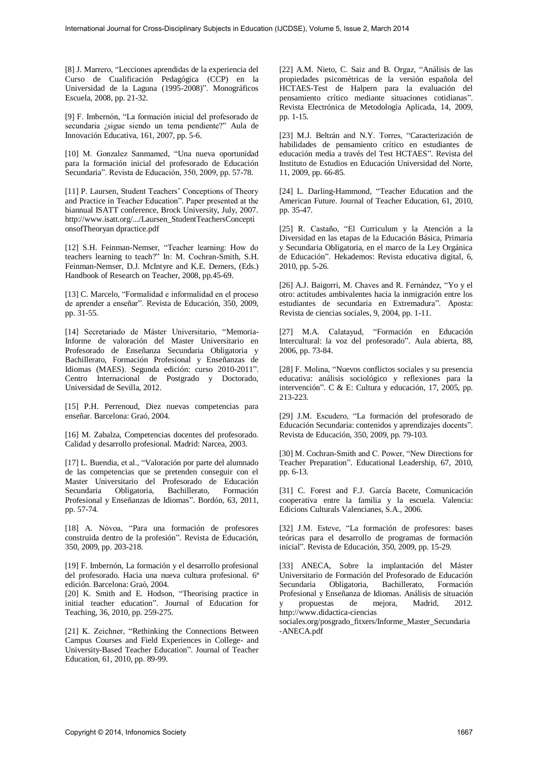[8] J. Marrero, "Lecciones aprendidas de la experiencia del Curso de Cualificación Pedagógica (CCP) en la Universidad de la Laguna (1995-2008)". Monográficos Escuela, 2008, pp. 21-32.

[9] F. Imbernón, "La formación inicial del profesorado de secundaria ¿sigue siendo un tema pendiente?" Aula de Innovación Educativa, 161, 2007, pp. 5-6.

[10] M. Gonzalez Sanmamed, "Una nueva oportunidad para la formación inicial del profesorado de Educación Secundaria". Revista de Educación, 350, 2009, pp. 57-78.

[11] P. Laursen, Student Teachers' Conceptions of Theory and Practice in Teacher Education". Paper presented at the biannual ISATT conference, Brock University, July, 2007. http://www.isatt.org/.../Laursen\_StudentTeachersConcepti onsofTheoryan dpractice.pdf

[12] S.H. Feinman-Nemser, "Teacher learning: How do teachers learning to teach?" In: M. Cochran-Smith, S.H. Feinman-Nemser, D.J. McIntyre and K.E. Demers, (Eds.) Handbook of Research on Teacher, 2008, pp.45-69.

[13] C. Marcelo, "Formalidad e informalidad en el proceso de aprender a enseñar". Revista de Educación, 350, 2009, pp. 31-55.

[14] Secretariado de Máster Universitario, "Memoria-Informe de valoración del Master Universitario en Profesorado de Enseñanza Secundaria Obligatoria y Bachillerato, Formación Profesional y Enseñanzas de Idiomas (MAES). Segunda edición: curso 2010-2011". Centro Internacional de Postgrado y Doctorado, Universidad de Sevilla, 2012.

[15] P.H. Perrenoud, Diez nuevas competencias para enseñar. Barcelona: Graó, 2004.

[16] M. Zabalza, Competencias docentes del profesorado. Calidad y desarrollo profesional. Madrid: Narcea, 2003.

[17] L. Buendia, et al., "Valoración por parte del alumnado de las competencias que se pretenden conseguir con el Master Universitario del Profesorado de Educación Secundaria Obligatoria, Bachillerato, Formación Profesional y Enseñanzas de Idiomas". Bordón, 63, 2011, pp. 57-74.

[18] A. Nóvoa, "Para una formación de profesores construida dentro de la profesión". Revista de Educación, 350, 2009, pp. 203-218.

[19] F. Imbernón, La formación y el desarrollo profesional del profesorado. Hacia una nueva cultura profesional. 6ª edición. Barcelona: Graò, 2004.

[20] K. Smith and E. Hodson, "Theorising practice in initial teacher education". Journal of Education for Teaching, 36, 2010, pp. 259-275.

[21] K. Zeichner, "Rethinking the Connections Between Campus Courses and Field Experiences in College- and University-Based Teacher Education". Journal of Teacher Education, 61, 2010, pp. 89-99.

[22] A.M. Nieto, C. Saiz and B. Orgaz, "Análisis de las propiedades psicométricas de la versión española del HCTAES-Test de Halpern para la evaluación del pensamiento crítico mediante situaciones cotidianas". Revista Electrónica de Metodología Aplicada, 14, 2009, pp. 1-15.

[23] M.J. Beltrán and N.Y. Torres, "Caracterización de habilidades de pensamiento crítico en estudiantes de educación media a través del Test HCTAES". Revista del Instituto de Estudios en Educación Universidad del Norte, 11, 2009, pp. 66-85.

[24] L. Darling-Hammond, "Teacher Education and the American Future. Journal of Teacher Education, 61, 2010, pp. 35-47.

[25] R. Castaño, "El Curriculum y la Atención a la Diversidad en las etapas de la Educación Básica, Primaria y Secundaria Obligatoria, en el marco de la Ley Orgánica de Educación". Hekademos: Revista educativa digital, 6, 2010, pp. 5-26.

[26] A.J. Baigorri, M. Chaves and R. Fernández, "Yo y el otro: actitudes ambivalentes hacia la inmigración entre los estudiantes de secundaria en Extremadura". Aposta: Revista de ciencias sociales, 9, 2004, pp. 1-11.

[27] M.A. Calatayud, "Formación en Educación Intercultural: la voz del profesorado". Aula abierta, 88, 2006, pp. 73-84.

[28] F. Molina, "Nuevos conflictos sociales y su presencia educativa: análisis sociológico y reflexiones para la intervención". C & E: Cultura y educación, 17, 2005, pp. 213-223.

[29] J.M. Escudero, "La formación del profesorado de Educación Secundaria: contenidos y aprendizajes docents". Revista de Educación, 350, 2009, pp. 79-103.

[30] M. Cochran-Smith and C. Power, "New Directions for Teacher Preparation". Educational Leadership, 67, 2010, pp. 6-13.

[31] C. Forest and F.J. García Bacete, Comunicación cooperativa entre la familia y la escuela. Valencia: Edicions Culturals Valencianes, S.A., 2006.

[32] J.M. Esteve, "La formación de profesores: bases teóricas para el desarrollo de programas de formación inicial". Revista de Educación, 350, 2009, pp. 15-29.

[33] ANECA, Sobre la implantación del Máster Universitario de Formación del Profesorado de Educación Secundaria Obligatoria, Bachillerato, Formación Profesional y Enseñanza de Idiomas. Análisis de situación y propuestas de mejora, Madrid, 2012. http://www.didactica-ciencias

sociales.org/posgrado\_fitxers/Informe\_Master\_Secundaria -ANECA.pdf